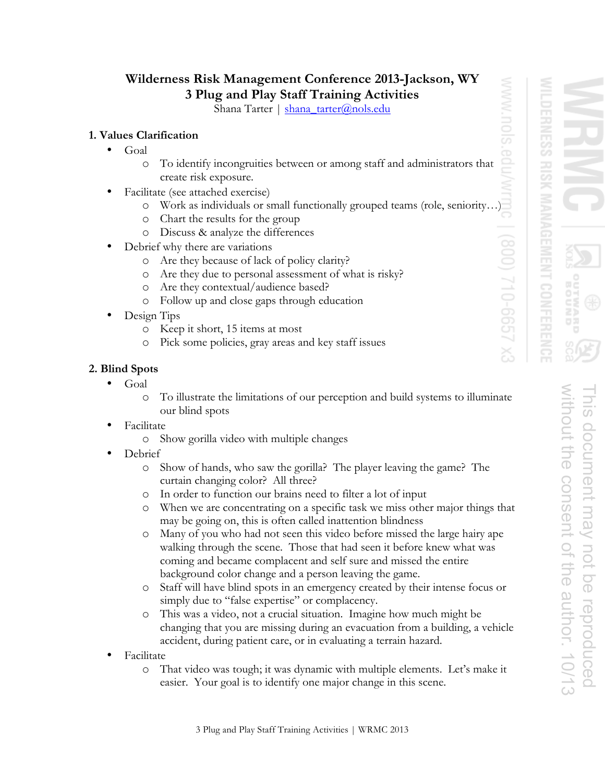## **Wilderness Risk Management Conference 2013-Jackson, WY 3 Plug and Play Staff Training Activities**

Shana Tarter | shana\_tarter@nols.edu

### **1. Values Clarification**

- Goal
	- o To identify incongruities between or among staff and administrators that create risk exposure.
- Facilitate (see attached exercise)
	- o Work as individuals or small functionally grouped teams (role, seniority…)
	- o Chart the results for the group
	- o Discuss & analyze the differences
- Debrief why there are variations
	- o Are they because of lack of policy clarity?
	- o Are they due to personal assessment of what is risky?
	- o Are they contextual/audience based?
	- o Follow up and close gaps through education
- Design Tips
	- o Keep it short, 15 items at most
	- o Pick some policies, gray areas and key staff issues

### **2. Blind Spots**

- Goal
	- o To illustrate the limitations of our perception and build systems to illuminate our blind spots
- **Facilitate** 
	- o Show gorilla video with multiple changes
- Debrief
	- o Show of hands, who saw the gorilla? The player leaving the game? The curtain changing color? All three?
	- o In order to function our brains need to filter a lot of input
	- o When we are concentrating on a specific task we miss other major things that may be going on, this is often called inattention blindness
	- o Many of you who had not seen this video before missed the large hairy ape walking through the scene. Those that had seen it before knew what was coming and became complacent and self sure and missed the entire background color change and a person leaving the game.
	- o Staff will have blind spots in an emergency created by their intense focus or simply due to "false expertise" or complacency.
	- o This was a video, not a crucial situation. Imagine how much might be changing that you are missing during an evacuation from a building, a vehicle accident, during patient care, or in evaluating a terrain hazard.
- **Facilitate** 
	- o That video was tough; it was dynamic with multiple elements. Let's make it easier. Your goal is to identify one major change in this scene.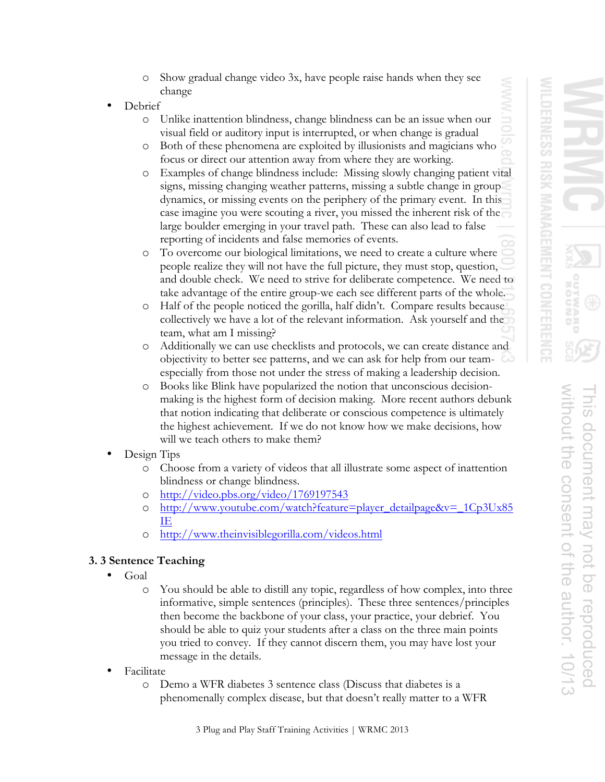- o Show gradual change video 3x, have people raise hands when they see change
- Debrief
	- o Unlike inattention blindness, change blindness can be an issue when our visual field or auditory input is interrupted, or when change is gradual
	- o Both of these phenomena are exploited by illusionists and magicians who focus or direct our attention away from where they are working.
	- o Examples of change blindness include: Missing slowly changing patient vital signs, missing changing weather patterns, missing a subtle change in group dynamics, or missing events on the periphery of the primary event. In this case imagine you were scouting a river, you missed the inherent risk of the large boulder emerging in your travel path. These can also lead to false reporting of incidents and false memories of events.
	- o To overcome our biological limitations, we need to create a culture where people realize they will not have the full picture, they must stop, question, and double check. We need to strive for deliberate competence. We need to take advantage of the entire group-we each see different parts of the whole.
	- o Half of the people noticed the gorilla, half didn't. Compare results because collectively we have a lot of the relevant information. Ask yourself and the team, what am I missing?
	- o Additionally we can use checklists and protocols, we can create distance and objectivity to better see patterns, and we can ask for help from our teamespecially from those not under the stress of making a leadership decision.
	- o Books like Blink have popularized the notion that unconscious decisionmaking is the highest form of decision making. More recent authors debunk that notion indicating that deliberate or conscious competence is ultimately the highest achievement. If we do not know how we make decisions, how will we teach others to make them?
- Design Tips
	- o Choose from a variety of videos that all illustrate some aspect of inattention blindness or change blindness.
	- o http://video.pbs.org/video/1769197543
	- o http://www.youtube.com/watch?feature=player\_detailpage&v=\_1Cp3Ux85 IE
	- o http://www.theinvisiblegorilla.com/videos.html

#### **3. 3 Sentence Teaching**

- Goal
	- o You should be able to distill any topic, regardless of how complex, into three informative, simple sentences (principles). These three sentences/principles then become the backbone of your class, your practice, your debrief. You should be able to quiz your students after a class on the three main points you tried to convey. If they cannot discern them, you may have lost your message in the details.
- **Facilitate** 
	- o Demo a WFR diabetes 3 sentence class (Discuss that diabetes is a phenomenally complex disease, but that doesn't really matter to a WFR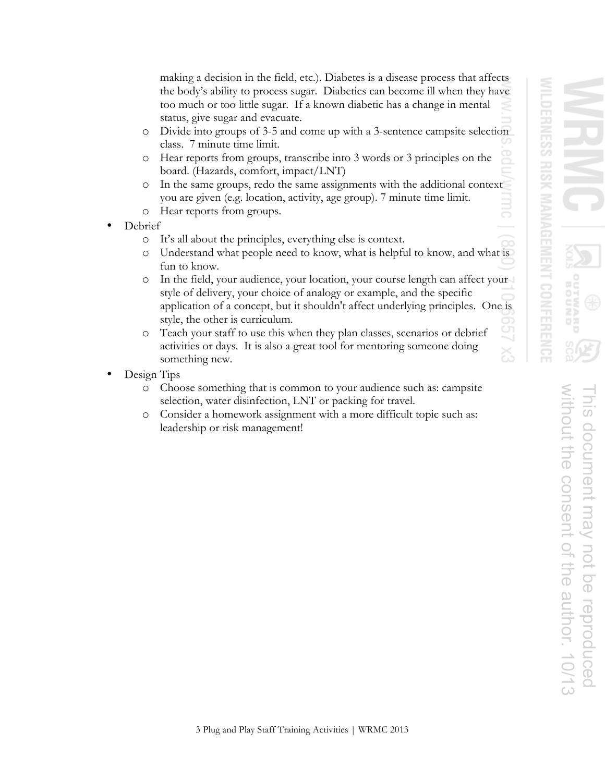$\frac{1}{\sqrt{2}}$ 

making a decision in the field, etc.). Diabetes is a disease process that affects the body's ability to process sugar. Diabetics can become ill when they have too much or too little sugar. If a known diabetic has a change in mental status, give sugar and evacuate.

- o Divide into groups of 3-5 and come up with a 3-sentence campsite selection class. 7 minute time limit.
- o Hear reports from groups, transcribe into 3 words or 3 principles on the board. (Hazards, comfort, impact/LNT)
- o In the same groups, redo the same assignments with the additional context you are given (e.g. location, activity, age group). 7 minute time limit.
- o Hear reports from groups.
- Debrief
	- o It's all about the principles, everything else is context.
	- o Understand what people need to know, what is helpful to know, and what is fun to know.
	- o In the field, your audience, your location, your course length can affect your style of delivery, your choice of analogy or example, and the specific application of a concept, but it shouldn't affect underlying principles. One is style, the other is curriculum.
	- o Teach your staff to use this when they plan classes, scenarios or debrief activities or days. It is also a great tool for mentoring someone doing something new.
- Design Tips
	- o Choose something that is common to your audience such as: campsite selection, water disinfection, LNT or packing for travel.
	- o Consider a homework assignment with a more difficult topic such as: leadership or risk management!

without the consent of the author. 10/13 This document may not be reproduced without the consent of the author. 10/13  $\frac{1}{5}$ document may not be reproduced